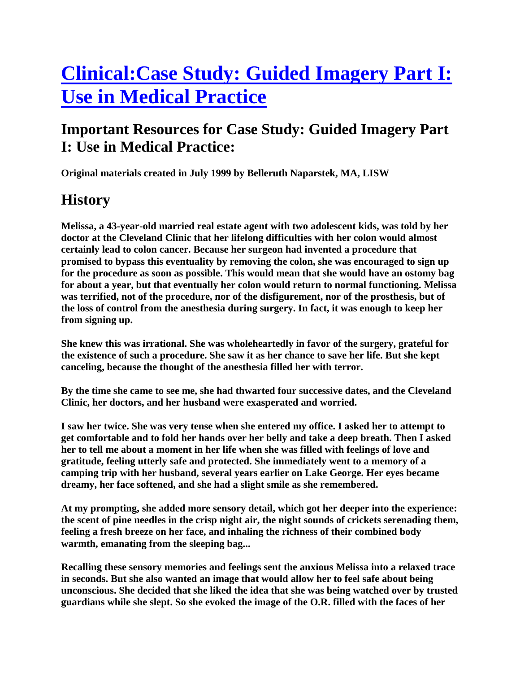# **[Clinical:Case Study: Guided Imagery Part I:](http://wiki.medpedia.com/Clinical:Case_Study:_Guided_Imagery_Part_I:_Use_in_Medical_Practice)  [Use in Medical Practice](http://wiki.medpedia.com/Clinical:Case_Study:_Guided_Imagery_Part_I:_Use_in_Medical_Practice)**

## **Important Resources for Case Study: Guided Imagery Part I: Use in Medical Practice:**

**Original materials created in July 1999 by Belleruth Naparstek, MA, LISW** 

# **History**

**Melissa, a 43-year-old married real estate agent with two adolescent kids, was told by her doctor at the Cleveland Clinic that her lifelong difficulties with her colon would almost certainly lead to colon cancer. Because her surgeon had invented a procedure that promised to bypass this eventuality by removing the colon, she was encouraged to sign up for the procedure as soon as possible. This would mean that she would have an ostomy bag for about a year, but that eventually her colon would return to normal functioning. Melissa was terrified, not of the procedure, nor of the disfigurement, nor of the prosthesis, but of the loss of control from the anesthesia during surgery. In fact, it was enough to keep her from signing up.** 

**She knew this was irrational. She was wholeheartedly in favor of the surgery, grateful for the existence of such a procedure. She saw it as her chance to save her life. But she kept canceling, because the thought of the anesthesia filled her with terror.** 

**By the time she came to see me, she had thwarted four successive dates, and the Cleveland Clinic, her doctors, and her husband were exasperated and worried.** 

**I saw her twice. She was very tense when she entered my office. I asked her to attempt to get comfortable and to fold her hands over her belly and take a deep breath. Then I asked her to tell me about a moment in her life when she was filled with feelings of love and gratitude, feeling utterly safe and protected. She immediately went to a memory of a camping trip with her husband, several years earlier on Lake George. Her eyes became dreamy, her face softened, and she had a slight smile as she remembered.** 

**At my prompting, she added more sensory detail, which got her deeper into the experience: the scent of pine needles in the crisp night air, the night sounds of crickets serenading them, feeling a fresh breeze on her face, and inhaling the richness of their combined body warmth, emanating from the sleeping bag...** 

**Recalling these sensory memories and feelings sent the anxious Melissa into a relaxed trace in seconds. But she also wanted an image that would allow her to feel safe about being unconscious. She decided that she liked the idea that she was being watched over by trusted guardians while she slept. So she evoked the image of the O.R. filled with the faces of her**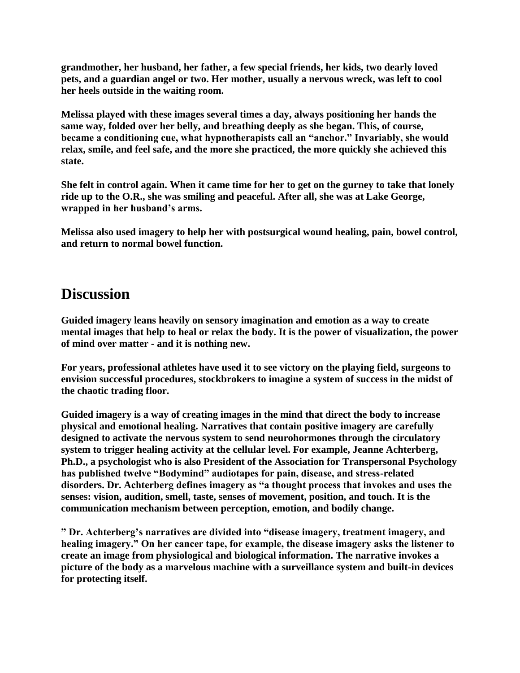**grandmother, her husband, her father, a few special friends, her kids, two dearly loved pets, and a guardian angel or two. Her mother, usually a nervous wreck, was left to cool her heels outside in the waiting room.** 

**Melissa played with these images several times a day, always positioning her hands the same way, folded over her belly, and breathing deeply as she began. This, of course, became a conditioning cue, what hypnotherapists call an "anchor." Invariably, she would relax, smile, and feel safe, and the more she practiced, the more quickly she achieved this state.** 

**She felt in control again. When it came time for her to get on the gurney to take that lonely ride up to the O.R., she was smiling and peaceful. After all, she was at Lake George, wrapped in her husband's arms.** 

**Melissa also used imagery to help her with postsurgical wound healing, pain, bowel control, and return to normal bowel function.** 

### **Discussion**

**Guided imagery leans heavily on sensory imagination and emotion as a way to create mental images that help to heal or relax the body. It is the power of visualization, the power of mind over matter - and it is nothing new.** 

**For years, professional athletes have used it to see victory on the playing field, surgeons to envision successful procedures, stockbrokers to imagine a system of success in the midst of the chaotic trading floor.** 

**Guided imagery is a way of creating images in the mind that direct the body to increase physical and emotional healing. Narratives that contain positive imagery are carefully designed to activate the nervous system to send neurohormones through the circulatory system to trigger healing activity at the cellular level. For example, Jeanne Achterberg, Ph.D., a psychologist who is also President of the Association for Transpersonal Psychology has published twelve "Bodymind" audiotapes for pain, disease, and stress-related disorders. Dr. Achterberg defines imagery as "a thought process that invokes and uses the senses: vision, audition, smell, taste, senses of movement, position, and touch. It is the communication mechanism between perception, emotion, and bodily change.** 

**" Dr. Achterberg's narratives are divided into "disease imagery, treatment imagery, and healing imagery." On her cancer tape, for example, the disease imagery asks the listener to create an image from physiological and biological information. The narrative invokes a picture of the body as a marvelous machine with a surveillance system and built-in devices for protecting itself.**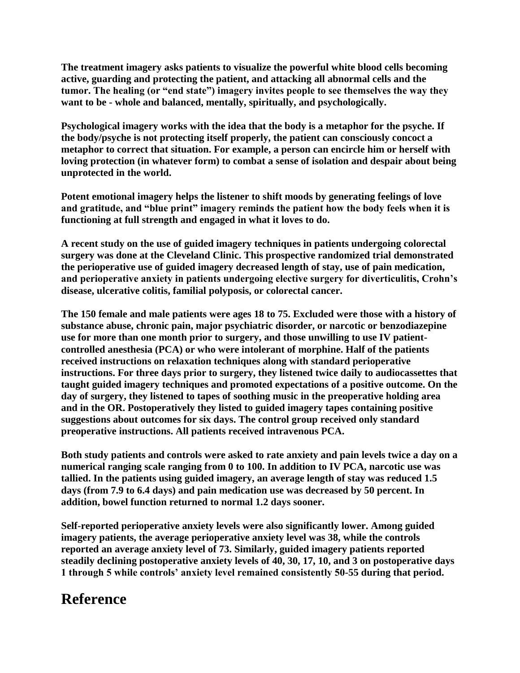**The treatment imagery asks patients to visualize the powerful white blood cells becoming active, guarding and protecting the patient, and attacking all abnormal cells and the tumor. The healing (or "end state") imagery invites people to see themselves the way they want to be - whole and balanced, mentally, spiritually, and psychologically.** 

**Psychological imagery works with the idea that the body is a metaphor for the psyche. If the body/psyche is not protecting itself properly, the patient can consciously concoct a metaphor to correct that situation. For example, a person can encircle him or herself with loving protection (in whatever form) to combat a sense of isolation and despair about being unprotected in the world.** 

**Potent emotional imagery helps the listener to shift moods by generating feelings of love and gratitude, and "blue print" imagery reminds the patient how the body feels when it is functioning at full strength and engaged in what it loves to do.** 

**A recent study on the use of guided imagery techniques in patients undergoing colorectal surgery was done at the Cleveland Clinic. This prospective randomized trial demonstrated the perioperative use of guided imagery decreased length of stay, use of pain medication, and perioperative anxiety in patients undergoing elective surgery for diverticulitis, Crohn's disease, ulcerative colitis, familial polyposis, or colorectal cancer.** 

**The 150 female and male patients were ages 18 to 75. Excluded were those with a history of substance abuse, chronic pain, major psychiatric disorder, or narcotic or benzodiazepine use for more than one month prior to surgery, and those unwilling to use IV patientcontrolled anesthesia (PCA) or who were intolerant of morphine. Half of the patients received instructions on relaxation techniques along with standard perioperative instructions. For three days prior to surgery, they listened twice daily to audiocassettes that taught guided imagery techniques and promoted expectations of a positive outcome. On the day of surgery, they listened to tapes of soothing music in the preoperative holding area and in the OR. Postoperatively they listed to guided imagery tapes containing positive suggestions about outcomes for six days. The control group received only standard preoperative instructions. All patients received intravenous PCA.** 

**Both study patients and controls were asked to rate anxiety and pain levels twice a day on a numerical ranging scale ranging from 0 to 100. In addition to IV PCA, narcotic use was tallied. In the patients using guided imagery, an average length of stay was reduced 1.5 days (from 7.9 to 6.4 days) and pain medication use was decreased by 50 percent. In addition, bowel function returned to normal 1.2 days sooner.** 

**Self-reported perioperative anxiety levels were also significantly lower. Among guided imagery patients, the average perioperative anxiety level was 38, while the controls reported an average anxiety level of 73. Similarly, guided imagery patients reported steadily declining postoperative anxiety levels of 40, 30, 17, 10, and 3 on postoperative days 1 through 5 while controls' anxiety level remained consistently 50-55 during that period.** 

### **Reference**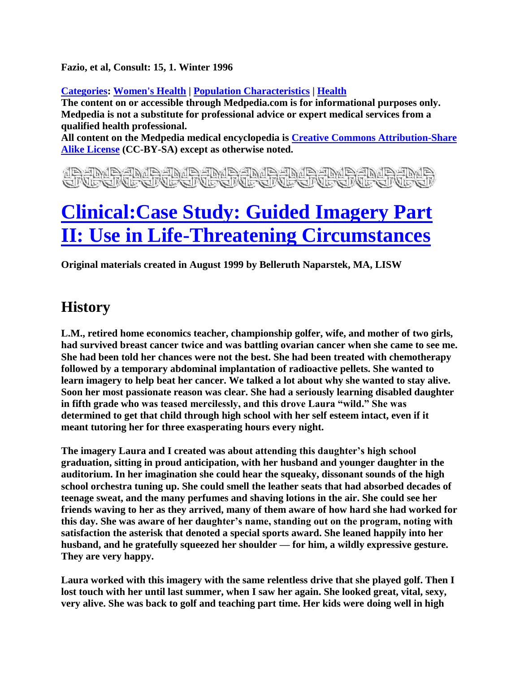**Fazio, et al, Consult: 15, 1. Winter 1996** 

**[Categories:](http://wiki.medpedia.com/Special:Categories) [Women's Health](http://wiki.medpedia.com/Category:Women%27s_Health) | [Population Characteristics](http://wiki.medpedia.com/Category:Population_Characteristics) | [Health](http://wiki.medpedia.com/Category:Health)**

**The content on or accessible through Medpedia.com is for informational purposes only. Medpedia is not a substitute for professional advice or expert medical services from a qualified health professional.** 

**All content on the Medpedia medical encyclopedia is [Creative Commons Attribution-Share](http://creativecommons.org/licenses/by-sa/3.0/)  [Alike License](http://creativecommons.org/licenses/by-sa/3.0/) (CC-BY-SA) except as otherwise noted.** 

<del>sasasasasasasasasas</del>

# **[Clinical:Case Study: Guided Imagery Part](http://wiki.medpedia.com/Clinical:Case_Study:_Guided_Imagery_Part_II:_Use_in_Life-Threatening_Circumstances)  [II: Use in Life-Threatening Circumstances](http://wiki.medpedia.com/Clinical:Case_Study:_Guided_Imagery_Part_II:_Use_in_Life-Threatening_Circumstances)**

**Original materials created in August 1999 by Belleruth Naparstek, MA, LISW** 

## **History**

**L.M., retired home economics teacher, championship golfer, wife, and mother of two girls, had survived breast cancer twice and was battling ovarian cancer when she came to see me. She had been told her chances were not the best. She had been treated with chemotherapy followed by a temporary abdominal implantation of radioactive pellets. She wanted to learn imagery to help beat her cancer. We talked a lot about why she wanted to stay alive. Soon her most passionate reason was clear. She had a seriously learning disabled daughter in fifth grade who was teased mercilessly, and this drove Laura "wild." She was determined to get that child through high school with her self esteem intact, even if it meant tutoring her for three exasperating hours every night.** 

**The imagery Laura and I created was about attending this daughter's high school graduation, sitting in proud anticipation, with her husband and younger daughter in the auditorium. In her imagination she could hear the squeaky, dissonant sounds of the high school orchestra tuning up. She could smell the leather seats that had absorbed decades of teenage sweat, and the many perfumes and shaving lotions in the air. She could see her friends waving to her as they arrived, many of them aware of how hard she had worked for this day. She was aware of her daughter's name, standing out on the program, noting with satisfaction the asterisk that denoted a special sports award. She leaned happily into her husband, and he gratefully squeezed her shoulder — for him, a wildly expressive gesture. They are very happy.**

**Laura worked with this imagery with the same relentless drive that she played golf. Then I lost touch with her until last summer, when I saw her again. She looked great, vital, sexy, very alive. She was back to golf and teaching part time. Her kids were doing well in high**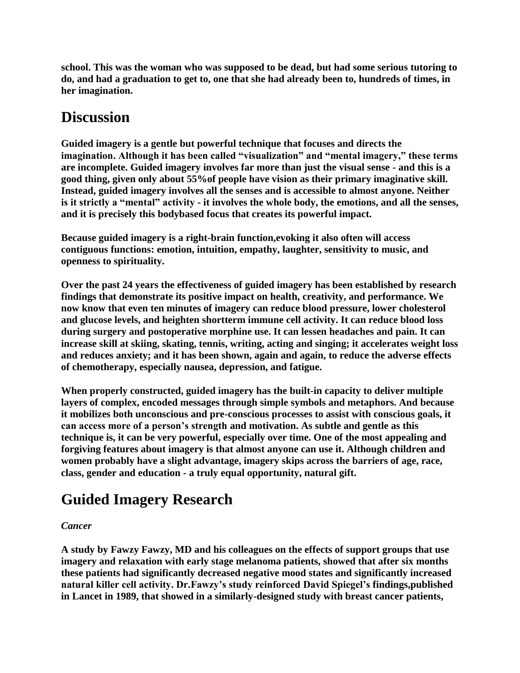**school. This was the woman who was supposed to be dead, but had some serious tutoring to do, and had a graduation to get to, one that she had already been to, hundreds of times, in her imagination.** 

# **Discussion**

**Guided imagery is a gentle but powerful technique that focuses and directs the imagination. Although it has been called "visualization" and "mental imagery," these terms are incomplete. Guided imagery involves far more than just the visual sense - and this is a good thing, given only about 55%of people have vision as their primary imaginative skill. Instead, guided imagery involves all the senses and is accessible to almost anyone. Neither is it strictly a "mental" activity - it involves the whole body, the emotions, and all the senses, and it is precisely this bodybased focus that creates its powerful impact.** 

**Because guided imagery is a right-brain function,evoking it also often will access contiguous functions: emotion, intuition, empathy, laughter, sensitivity to music, and openness to spirituality.** 

**Over the past 24 years the effectiveness of guided imagery has been established by research findings that demonstrate its positive impact on health, creativity, and performance. We now know that even ten minutes of imagery can reduce blood pressure, lower cholesterol and glucose levels, and heighten shortterm immune cell activity. It can reduce blood loss during surgery and postoperative morphine use. It can lessen headaches and pain. It can increase skill at skiing, skating, tennis, writing, acting and singing; it accelerates weight loss and reduces anxiety; and it has been shown, again and again, to reduce the adverse effects of chemotherapy, especially nausea, depression, and fatigue.** 

**When properly constructed, guided imagery has the built-in capacity to deliver multiple layers of complex, encoded messages through simple symbols and metaphors. And because it mobilizes both unconscious and pre-conscious processes to assist with conscious goals, it can access more of a person's strength and motivation. As subtle and gentle as this technique is, it can be very powerful, especially over time. One of the most appealing and forgiving features about imagery is that almost anyone can use it. Although children and women probably have a slight advantage, imagery skips across the barriers of age, race, class, gender and education - a truly equal opportunity, natural gift.** 

# **Guided Imagery Research**

### *Cancer*

**A study by Fawzy Fawzy, MD and his colleagues on the effects of support groups that use imagery and relaxation with early stage melanoma patients, showed that after six months these patients had significantly decreased negative mood states and significantly increased natural killer cell activity. Dr.Fawzy's study reinforced David Spiegel's findings,published in Lancet in 1989, that showed in a similarly-designed study with breast cancer patients,**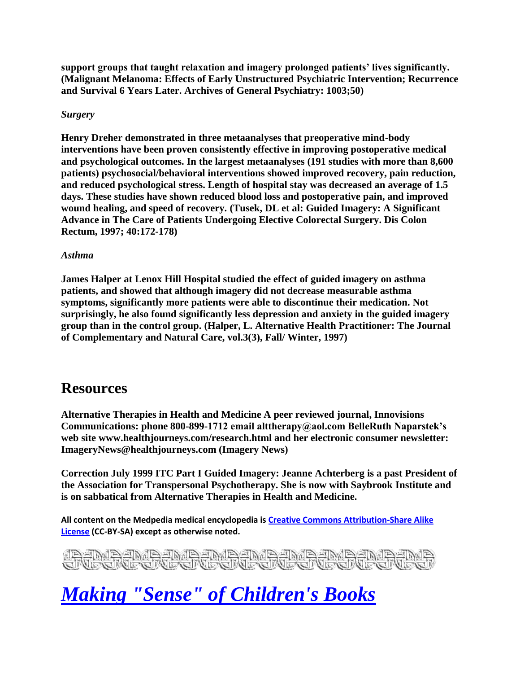**support groups that taught relaxation and imagery prolonged patients' lives significantly. (Malignant Melanoma: Effects of Early Unstructured Psychiatric Intervention; Recurrence and Survival 6 Years Later. Archives of General Psychiatry: 1003;50)**

#### *Surgery*

**Henry Dreher demonstrated in three metaanalyses that preoperative mind-body interventions have been proven consistently effective in improving postoperative medical and psychological outcomes. In the largest metaanalyses (191 studies with more than 8,600 patients) psychosocial/behavioral interventions showed improved recovery, pain reduction, and reduced psychological stress. Length of hospital stay was decreased an average of 1.5 days. These studies have shown reduced blood loss and postoperative pain, and improved wound healing, and speed of recovery. (Tusek, DL et al: Guided Imagery: A Significant Advance in The Care of Patients Undergoing Elective Colorectal Surgery. Dis Colon Rectum, 1997; 40:172-178)**

#### *Asthma*

**James Halper at Lenox Hill Hospital studied the effect of guided imagery on asthma patients, and showed that although imagery did not decrease measurable asthma symptoms, significantly more patients were able to discontinue their medication. Not surprisingly, he also found significantly less depression and anxiety in the guided imagery group than in the control group. (Halper, L. Alternative Health Practitioner: The Journal of Complementary and Natural Care, vol.3(3), Fall/ Winter, 1997)**

### **Resources**

**Alternative Therapies in Health and Medicine A peer reviewed journal, Innovisions Communications: phone 800-899-1712 email alttherapy@aol.com BelleRuth Naparstek's web site www.healthjourneys.com/research.html and her electronic consumer newsletter: ImageryNews@healthjourneys.com (Imagery News)** 

**Correction July 1999 ITC Part I Guided Imagery: Jeanne Achterberg is a past President of the Association for Transpersonal Psychotherapy. She is now with Saybrook Institute and is on sabbatical from Alternative Therapies in Health and Medicine.**

**All content on the Medpedia medical encyclopedia is [Creative Commons Attribution-Share Alike](http://creativecommons.org/licenses/by-sa/3.0/)  [License](http://creativecommons.org/licenses/by-sa/3.0/) (CC-BY-SA) except as otherwise noted.**

<u>andandandandandanda</u>

# *[Making "Sense" of Children's Books](http://www.mohumanities.org/E-News/Feb09/BookSense.htm)*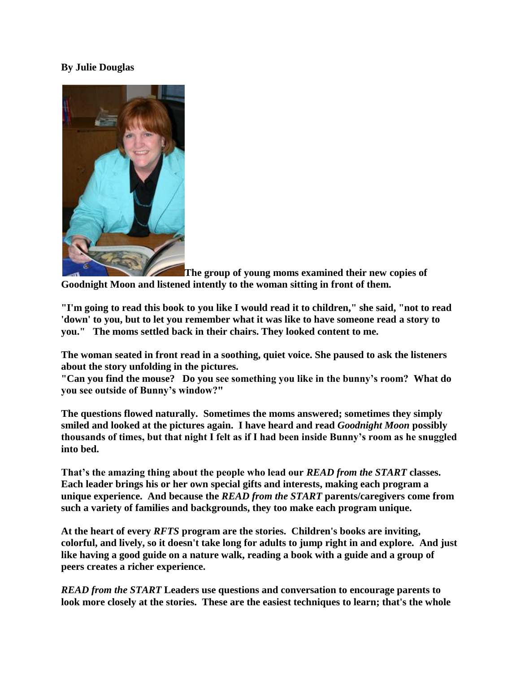#### **By Julie Douglas**



**The group of young moms examined their new copies of Goodnight Moon and listened intently to the woman sitting in front of them.**

**"I'm going to read this book to you like I would read it to children," she said, "not to read 'down' to you, but to let you remember what it was like to have someone read a story to you." The moms settled back in their chairs. They looked content to me.**

**The woman seated in front read in a soothing, quiet voice. She paused to ask the listeners about the story unfolding in the pictures.** 

**"Can you find the mouse? Do you see something you like in the bunny's room? What do you see outside of Bunny's window?"** 

**The questions flowed naturally. Sometimes the moms answered; sometimes they simply smiled and looked at the pictures again. I have heard and read** *Goodnight Moon* **possibly thousands of times, but that night I felt as if I had been inside Bunny's room as he snuggled into bed.**

**That's the amazing thing about the people who lead our** *READ from the START* **classes. Each leader brings his or her own special gifts and interests, making each program a unique experience. And because the** *READ from the START* **parents/caregivers come from such a variety of families and backgrounds, they too make each program unique.**

**At the heart of every** *RFTS* **program are the stories. Children's books are inviting, colorful, and lively, so it doesn't take long for adults to jump right in and explore. And just like having a good guide on a nature walk, reading a book with a guide and a group of peers creates a richer experience.**

*READ from the START* **Leaders use questions and conversation to encourage parents to look more closely at the stories. These are the easiest techniques to learn; that's the whole**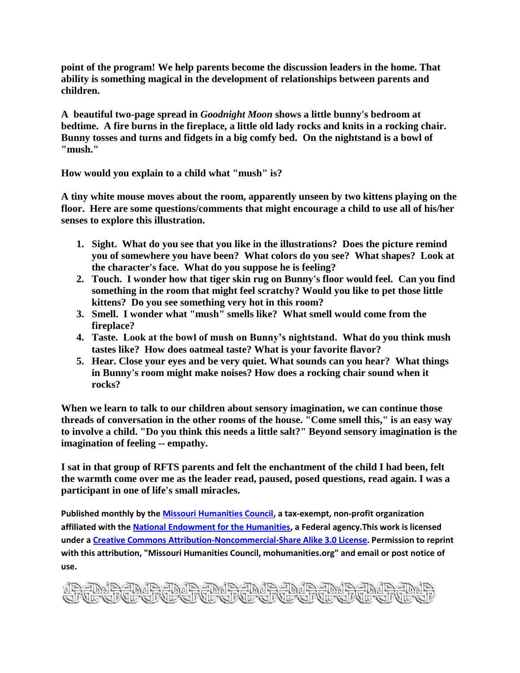**point of the program! We help parents become the discussion leaders in the home. That ability is something magical in the development of relationships between parents and children.**

**A beautiful two-page spread in** *Goodnight Moon* **shows a little bunny's bedroom at bedtime. A fire burns in the fireplace, a little old lady rocks and knits in a rocking chair. Bunny tosses and turns and fidgets in a big comfy bed. On the nightstand is a bowl of "mush."**

**How would you explain to a child what "mush" is?**

**A tiny white mouse moves about the room, apparently unseen by two kittens playing on the floor. Here are some questions/comments that might encourage a child to use all of his/her senses to explore this illustration.** 

- **1. Sight. What do you see that you like in the illustrations? Does the picture remind you of somewhere you have been? What colors do you see? What shapes? Look at the character's face. What do you suppose he is feeling?**
- **2. Touch. I wonder how that tiger skin rug on Bunny's floor would feel. Can you find something in the room that might feel scratchy? Would you like to pet those little kittens? Do you see something very hot in this room?**
- **3. Smell. I wonder what "mush" smells like? What smell would come from the fireplace?**
- **4. Taste. Look at the bowl of mush on Bunny's nightstand. What do you think mush tastes like? How does oatmeal taste? What is your favorite flavor?**
- **5. Hear. Close your eyes and be very quiet. What sounds can you hear? What things in Bunny's room might make noises? How does a rocking chair sound when it rocks?**

**When we learn to talk to our children about sensory imagination, we can continue those threads of conversation in the other rooms of the house. "Come smell this," is an easy way to involve a child. "Do you think this needs a little salt?" Beyond sensory imagination is the imagination of feeling -- empathy.** 

**I sat in that group of RFTS parents and felt the enchantment of the child I had been, felt the warmth come over me as the leader read, paused, posed questions, read again. I was a participant in one of life's small miracles.** 

**Published monthly by th[e Missouri Humanities Council,](http://mohumanities.org/) a tax-exempt, non-profit organization affiliated with th[e National Endowment for the Humanities,](http://neh.gov/) a Federal agency.This work is licensed under [a Creative Commons Attribution-Noncommercial-Share Alike 3.0 License.](http://creativecommons.org/licenses/by-nc-sa/3.0/) Permission to reprint with this attribution, "Missouri Humanities Council, mohumanities.org" and email or post notice of use.**

<u>a andang ang ang ang ang ang ang</u>